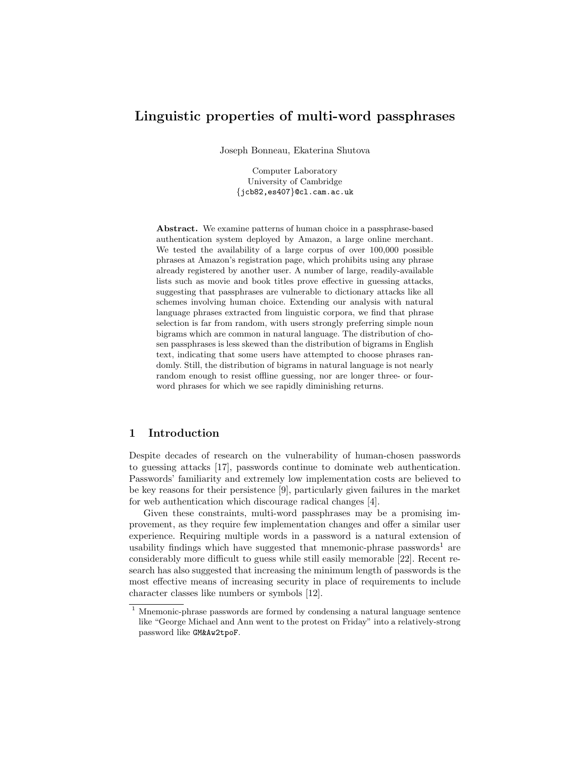# Linguistic properties of multi-word passphrases

Joseph Bonneau, Ekaterina Shutova

Computer Laboratory University of Cambridge {jcb82,es407}@cl.cam.ac.uk

Abstract. We examine patterns of human choice in a passphrase-based authentication system deployed by Amazon, a large online merchant. We tested the availability of a large corpus of over 100,000 possible phrases at Amazon's registration page, which prohibits using any phrase already registered by another user. A number of large, readily-available lists such as movie and book titles prove effective in guessing attacks, suggesting that passphrases are vulnerable to dictionary attacks like all schemes involving human choice. Extending our analysis with natural language phrases extracted from linguistic corpora, we find that phrase selection is far from random, with users strongly preferring simple noun bigrams which are common in natural language. The distribution of chosen passphrases is less skewed than the distribution of bigrams in English text, indicating that some users have attempted to choose phrases randomly. Still, the distribution of bigrams in natural language is not nearly random enough to resist offline guessing, nor are longer three- or fourword phrases for which we see rapidly diminishing returns.

# 1 Introduction

Despite decades of research on the vulnerability of human-chosen passwords to guessing attacks [\[17\]](#page-12-0), passwords continue to dominate web authentication. Passwords' familiarity and extremely low implementation costs are believed to be key reasons for their persistence [\[9\]](#page-11-0), particularly given failures in the market for web authentication which discourage radical changes [\[4\]](#page-11-1).

Given these constraints, multi-word passphrases may be a promising improvement, as they require few implementation changes and offer a similar user experience. Requiring multiple words in a password is a natural extension of usability findings which have suggested that mnemonic-phrase passwords<sup>1</sup> are considerably more difficult to guess while still easily memorable [\[22\]](#page-12-1). Recent research has also suggested that increasing the minimum length of passwords is the most effective means of increasing security in place of requirements to include character classes like numbers or symbols [\[12\]](#page-11-2).

<sup>&</sup>lt;sup>1</sup> Mnemonic-phrase passwords are formed by condensing a natural language sentence like "George Michael and Ann went to the protest on Friday" into a relatively-strong password like GM&Aw2tpoF.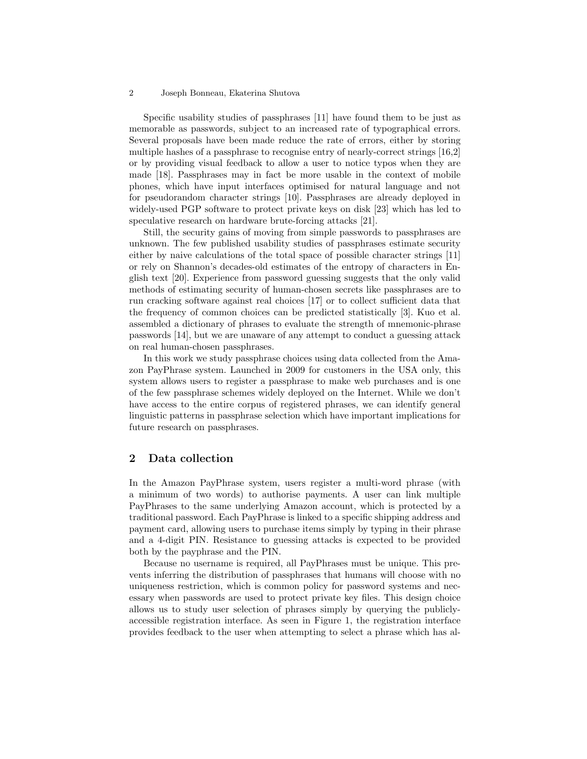#### 2 Joseph Bonneau, Ekaterina Shutova

Specific usability studies of passphrases [\[11\]](#page-11-3) have found them to be just as memorable as passwords, subject to an increased rate of typographical errors. Several proposals have been made reduce the rate of errors, either by storing multiple hashes of a passphrase to recognise entry of nearly-correct strings [\[16,](#page-11-4)[2\]](#page-11-5) or by providing visual feedback to allow a user to notice typos when they are made [\[18\]](#page-12-2). Passphrases may in fact be more usable in the context of mobile phones, which have input interfaces optimised for natural language and not for pseudorandom character strings [\[10\]](#page-11-6). Passphrases are already deployed in widely-used PGP software to protect private keys on disk [\[23\]](#page-12-3) which has led to speculative research on hardware brute-forcing attacks [\[21\]](#page-12-4).

Still, the security gains of moving from simple passwords to passphrases are unknown. The few published usability studies of passphrases estimate security either by naive calculations of the total space of possible character strings [\[11\]](#page-11-3) or rely on Shannon's decades-old estimates of the entropy of characters in English text [\[20\]](#page-12-5). Experience from password guessing suggests that the only valid methods of estimating security of human-chosen secrets like passphrases are to run cracking software against real choices [\[17\]](#page-12-0) or to collect sufficient data that the frequency of common choices can be predicted statistically [\[3\]](#page-11-7). Kuo et al. assembled a dictionary of phrases to evaluate the strength of mnemonic-phrase passwords [\[14\]](#page-11-8), but we are unaware of any attempt to conduct a guessing attack on real human-chosen passphrases.

In this work we study passphrase choices using data collected from the Amazon PayPhrase system. Launched in 2009 for customers in the USA only, this system allows users to register a passphrase to make web purchases and is one of the few passphrase schemes widely deployed on the Internet. While we don't have access to the entire corpus of registered phrases, we can identify general linguistic patterns in passphrase selection which have important implications for future research on passphrases.

# 2 Data collection

In the Amazon PayPhrase system, users register a multi-word phrase (with a minimum of two words) to authorise payments. A user can link multiple PayPhrases to the same underlying Amazon account, which is protected by a traditional password. Each PayPhrase is linked to a specific shipping address and payment card, allowing users to purchase items simply by typing in their phrase and a 4-digit PIN. Resistance to guessing attacks is expected to be provided both by the payphrase and the PIN.

Because no username is required, all PayPhrases must be unique. This prevents inferring the distribution of passphrases that humans will choose with no uniqueness restriction, which is common policy for password systems and necessary when passwords are used to protect private key files. This design choice allows us to study user selection of phrases simply by querying the publiclyaccessible registration interface. As seen in Figure [1,](#page-2-0) the registration interface provides feedback to the user when attempting to select a phrase which has al-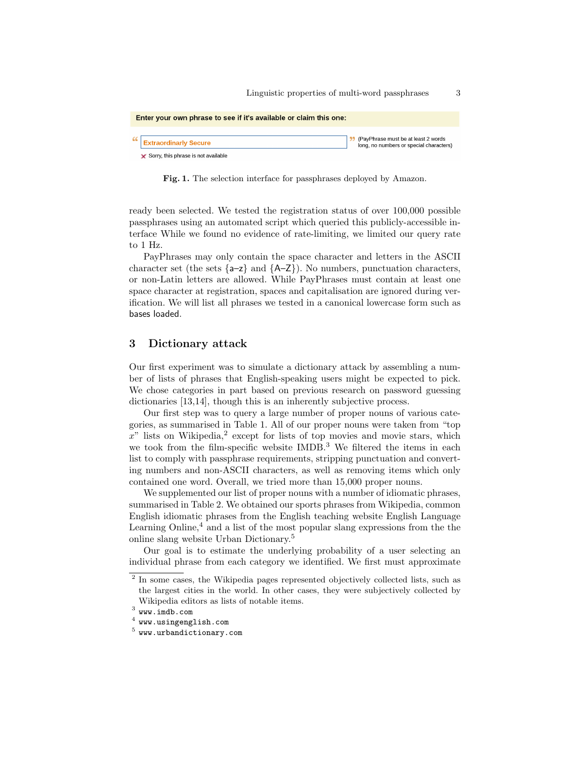| Enter your own phrase to see if it's available or claim this one: |                                                                              |                                                                                |  |  |
|-------------------------------------------------------------------|------------------------------------------------------------------------------|--------------------------------------------------------------------------------|--|--|
|                                                                   | <b>Extraordinarly Secure</b><br>$\times$ Sorry, this phrase is not available | (PayPhrase must be at least 2 words<br>long, no numbers or special characters) |  |  |

<span id="page-2-0"></span>Fig. 1. The selection interface for passphrases deployed by Amazon.

ready been selected. We tested the registration status of over 100,000 possible passphrases using an automated script which queried this publicly-accessible interface While we found no evidence of rate-limiting, we limited our query rate to 1 Hz.

PayPhrases may only contain the space character and letters in the ASCII character set (the sets  $\{a-z\}$  and  $\{A-Z\}$ ). No numbers, punctuation characters, or non-Latin letters are allowed. While PayPhrases must contain at least one space character at registration, spaces and capitalisation are ignored during verification. We will list all phrases we tested in a canonical lowercase form such as bases loaded.

### <span id="page-2-1"></span>3 Dictionary attack

Our first experiment was to simulate a dictionary attack by assembling a number of lists of phrases that English-speaking users might be expected to pick. We chose categories in part based on previous research on password guessing dictionaries [\[13](#page-11-9)[,14\]](#page-11-8), though this is an inherently subjective process.

Our first step was to query a large number of proper nouns of various categories, as summarised in Table [1.](#page-4-0) All of our proper nouns were taken from "top  $x^{\prime\prime}$  lists on Wikipedia,<sup>2</sup> except for lists of top movies and movie stars, which we took from the film-specific website IMDB.<sup>3</sup> We filtered the items in each list to comply with passphrase requirements, stripping punctuation and converting numbers and non-ASCII characters, as well as removing items which only contained one word. Overall, we tried more than 15,000 proper nouns.

We supplemented our list of proper nouns with a number of idiomatic phrases, summarised in Table [2.](#page-5-0) We obtained our sports phrases from Wikipedia, common English idiomatic phrases from the English teaching website English Language Learning Online, $4$  and a list of the most popular slang expressions from the the online slang website Urban Dictionary.<sup>5</sup>

Our goal is to estimate the underlying probability of a user selecting an individual phrase from each category we identified. We first must approximate

<sup>&</sup>lt;sup>2</sup> In some cases, the Wikipedia pages represented objectively collected lists, such as the largest cities in the world. In other cases, they were subjectively collected by Wikipedia editors as lists of notable items.

 $^3$  <www.imdb.com>

 $^4$  <www.usingenglish.com>

 $5$  <www.urbandictionary.com>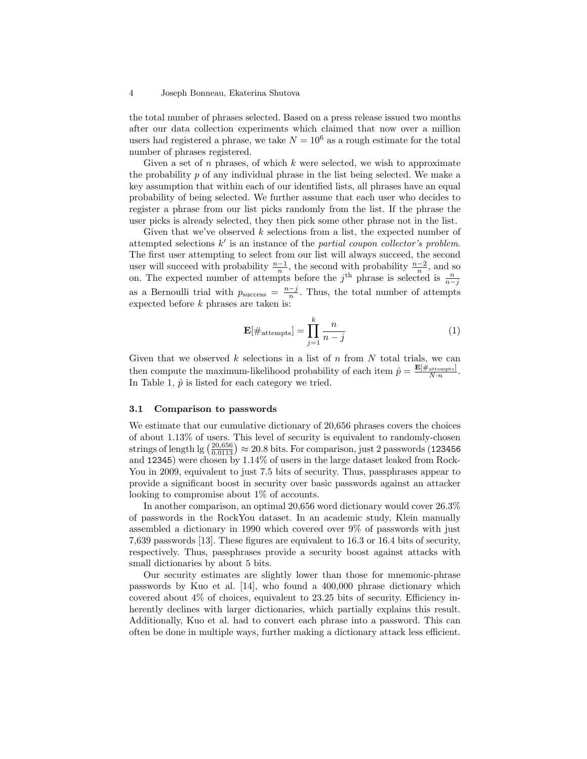#### 4 Joseph Bonneau, Ekaterina Shutova

the total number of phrases selected. Based on a press release issued two months after our data collection experiments which claimed that now over a million users had registered a phrase, we take  $N = 10^6$  as a rough estimate for the total number of phrases registered.

Given a set of  $n$  phrases, of which  $k$  were selected, we wish to approximate the probability  $p$  of any individual phrase in the list being selected. We make a key assumption that within each of our identified lists, all phrases have an equal probability of being selected. We further assume that each user who decides to register a phrase from our list picks randomly from the list. If the phrase the user picks is already selected, they then pick some other phrase not in the list.

Given that we've observed  $k$  selections from a list, the expected number of attempted selections  $k'$  is an instance of the partial coupon collector's problem. The first user attempting to select from our list will always succeed, the second user will succeed with probability  $\frac{n-1}{n}$ , the second with probability  $\frac{n-2}{n}$ , and so on. The expected number of attempts before the j<sup>th</sup> phrase is selected is  $\frac{n}{n-j}$ as a Bernoulli trial with  $p_{\text{success}} = \frac{n-j}{n}$ . Thus, the total number of attempts expected before k phrases are taken is:

$$
\mathbf{E}[\#_{\text{attempts}}] = \prod_{j=1}^{k} \frac{n}{n-j} \tag{1}
$$

Given that we observed  $k$  selections in a list of  $n$  from  $N$  total trials, we can then compute the maximum-likelihood probability of each item  $\hat{p} = \frac{\mathbf{E}[\#_{\text{attempts}}]}{N \cdot n}$ . In Table [1,](#page-4-0)  $\hat{p}$  is listed for each category we tried.

#### 3.1 Comparison to passwords

We estimate that our cumulative dictionary of 20,656 phrases covers the choices of about 1.13% of users. This level of security is equivalent to randomly-chosen strings of length lg  $\left(\frac{20,656}{0.0113}\right) \approx 20.8$  bits. For comparison, just 2 passwords (123456) and 12345) were chosen by 1.14% of users in the large dataset leaked from Rock-You in 2009, equivalent to just 7.5 bits of security. Thus, passphrases appear to provide a significant boost in security over basic passwords against an attacker looking to compromise about 1% of accounts.

In another comparison, an optimal 20,656 word dictionary would cover 26.3% of passwords in the RockYou dataset. In an academic study, Klein manually assembled a dictionary in 1990 which covered over 9% of passwords with just 7,639 passwords [\[13\]](#page-11-9). These figures are equivalent to 16.3 or 16.4 bits of security, respectively. Thus, passphrases provide a security boost against attacks with small dictionaries by about 5 bits.

Our security estimates are slightly lower than those for mnemonic-phrase passwords by Kuo et al. [\[14\]](#page-11-8), who found a 400,000 phrase dictionary which covered about 4% of choices, equivalent to 23.25 bits of security. Efficiency inherently declines with larger dictionaries, which partially explains this result. Additionally, Kuo et al. had to convert each phrase into a password. This can often be done in multiple ways, further making a dictionary attack less efficient.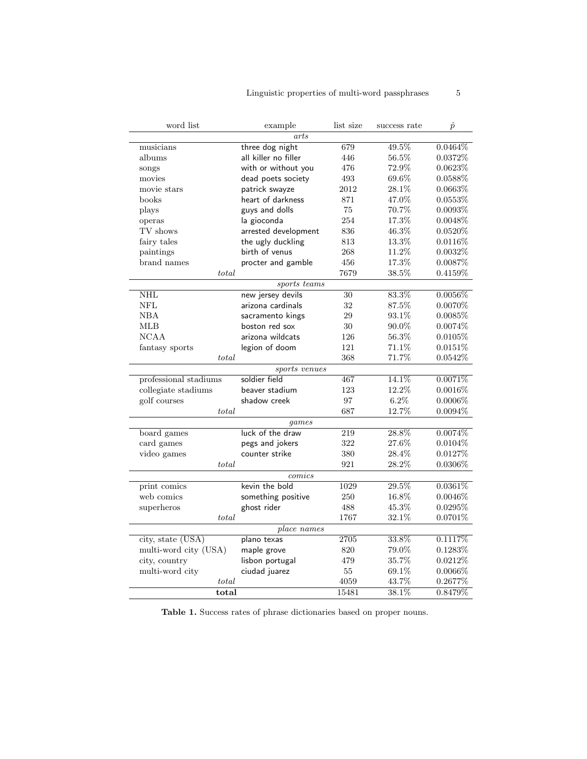| word list             | example              | list size | success rate | $\hat{p}$  |
|-----------------------|----------------------|-----------|--------------|------------|
|                       | arts                 |           |              |            |
| musicians             | three dog night      | 679       | 49.5%        | $0.0464\%$ |
| albums                | all killer no filler | 446       | 56.5%        | 0.0372%    |
| songs                 | with or without you  | 476       | 72.9%        | 0.0623%    |
| movies                | dead poets society   | 493       | 69.6%        | 0.0588%    |
| movie stars           | patrick swayze       | 2012      | 28.1%        | 0.0663%    |
| books                 | heart of darkness    | 871       | 47.0%        | 0.0553%    |
| plays                 | guys and dolls       | 75        | 70.7%        | $0.0093\%$ |
| operas                | la gioconda          | 254       | 17.3%        | $0.0048\%$ |
| TV shows              | arrested development | 836       | 46.3%        | $0.0520\%$ |
| fairy tales           | the ugly duckling    | 813       | 13.3%        | $0.0116\%$ |
| paintings             | birth of venus       | 268       | 11.2%        | 0.0032%    |
| brand names           | procter and gamble   | 456       | 17.3%        | $0.0087\%$ |
| total                 |                      | 7679      | 38.5%        | 0.4159%    |
|                       | sports teams         |           |              |            |
| NHL                   | new jersey devils    | 30        | 83.3%        | $0.0056\%$ |
| <b>NFL</b>            | arizona cardinals    | 32        | 87.5%        | $0.0070\%$ |
| NBA                   | sacramento kings     | 29        | 93.1%        | 0.0085%    |
| <b>MLB</b>            | boston red sox       | 30        | 90.0%        | 0.0074\%   |
| <b>NCAA</b>           | arizona wildcats     | 126       | 56.3%        | 0.0105%    |
| fantasy sports        | legion of doom       | 121       | 71.1\%       | 0.0151%    |
| total                 |                      | 368       | 71.7%        | 0.0542%    |
|                       | sports venues        |           |              |            |
| professional stadiums | soldier field        | 467       | 14.1%        | 0.0071%    |
| collegiate stadiums   | beaver stadium       | 123       | 12.2%        | $0.0016\%$ |
| golf courses          | shadow creek         | 97        | $6.2\%$      | $0.0006\%$ |
| total                 |                      | 687       | 12.7%        | $0.0094\%$ |
| games                 |                      |           |              |            |
| board games           | luck of the draw     | 219       | 28.8%        | $0.0074\%$ |
| card games            | pegs and jokers      | 322       | 27.6%        | $0.0104\%$ |
| video games           | counter strike       | 380       | 28.4%        | 0.0127\%   |
| total                 |                      | 921       | 28.2%        | $0.0306\%$ |
| comics                |                      |           |              |            |
| print comics          | kevin the bold       | 1029      | 29.5%        | $0.0361\%$ |
| web comics            | something positive   | 250       | 16.8%        | $0.0046\%$ |
| superheros            | ghost rider          | 488       | 45.3%        | $0.0295\%$ |
| total                 |                      | 1767      | $32.1\%$     | $0.0701\%$ |
| place names           |                      |           |              |            |
| city, state (USA)     | plano texas          | 2705      | 33.8%        | 0.1117%    |
| multi-word city (USA) | maple grove          | 820       | 79.0%        | $0.1283\%$ |
| city, country         | lisbon portugal      | 479       | 35.7%        | $0.0212\%$ |
| multi-word city       | ciudad juarez        | 55        | 69.1%        | $0.0066\%$ |
| total                 |                      | 4059      | 43.7%        | 0.2677%    |
| total                 |                      | 15481     | 38.1%        | 0.8479%    |

<span id="page-4-0"></span>Table 1. Success rates of phrase dictionaries based on proper nouns.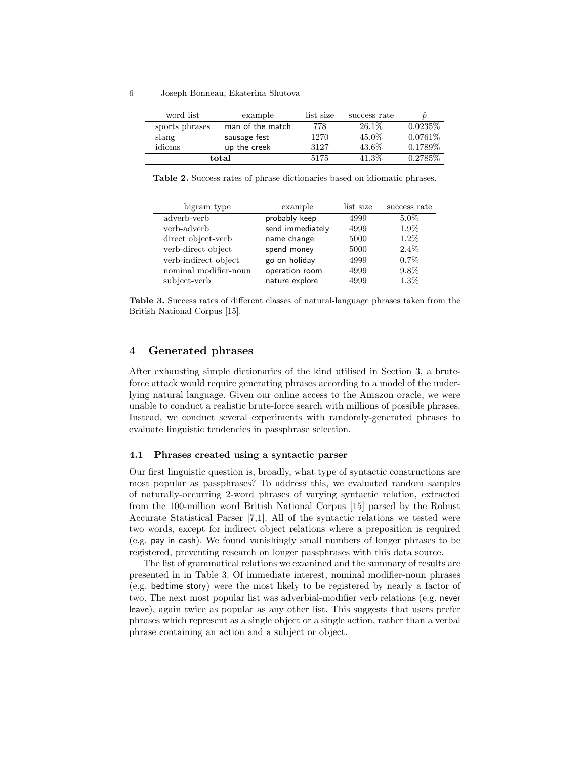#### 6 Joseph Bonneau, Ekaterina Shutova

| word list      | example          | list size | success rate |            |
|----------------|------------------|-----------|--------------|------------|
| sports phrases | man of the match | 778       | $26.1\%$     | $0.0235\%$ |
| slang          | sausage fest     | 1270      | 45.0%        | $0.0761\%$ |
| idioms         | up the creek     | 3127      | 43.6%        | $0.1789\%$ |
|                | total            | 5175      | 41.3%        | $0.2785\%$ |

<span id="page-5-0"></span>Table 2. Success rates of phrase dictionaries based on idiomatic phrases.

| bigram type           | example          | list size | success rate |
|-----------------------|------------------|-----------|--------------|
| adverb-verb           | probably keep    | 4999      | $5.0\%$      |
| verb-adverb           | send immediately | 4999      | 1.9%         |
| direct object-verb    | name change      | 5000      | $1.2\%$      |
| verb-direct object    | spend money      | 5000      | $2.4\%$      |
| verb-indirect object  | go on holiday    | 4999      | $0.7\%$      |
| nominal modifier-noun | operation room   | 4999      | 9.8%         |
| subject-verb          | nature explore   | 4999      | 1.3%         |

<span id="page-5-1"></span>Table 3. Success rates of different classes of natural-language phrases taken from the British National Corpus [\[15\]](#page-11-10).

# 4 Generated phrases

After exhausting simple dictionaries of the kind utilised in Section [3,](#page-2-1) a bruteforce attack would require generating phrases according to a model of the underlying natural language. Given our online access to the Amazon oracle, we were unable to conduct a realistic brute-force search with millions of possible phrases. Instead, we conduct several experiments with randomly-generated phrases to evaluate linguistic tendencies in passphrase selection.

#### 4.1 Phrases created using a syntactic parser

Our first linguistic question is, broadly, what type of syntactic constructions are most popular as passphrases? To address this, we evaluated random samples of naturally-occurring 2-word phrases of varying syntactic relation, extracted from the 100-million word British National Corpus [\[15\]](#page-11-10) parsed by the Robust Accurate Statistical Parser [\[7,](#page-11-11)[1\]](#page-11-12). All of the syntactic relations we tested were two words, except for indirect object relations where a preposition is required (e.g. pay in cash). We found vanishingly small numbers of longer phrases to be registered, preventing research on longer passphrases with this data source.

The list of grammatical relations we examined and the summary of results are presented in in Table [3.](#page-5-1) Of immediate interest, nominal modifier-noun phrases (e.g. bedtime story) were the most likely to be registered by nearly a factor of two. The next most popular list was adverbial-modifier verb relations (e.g. never leave), again twice as popular as any other list. This suggests that users prefer phrases which represent as a single object or a single action, rather than a verbal phrase containing an action and a subject or object.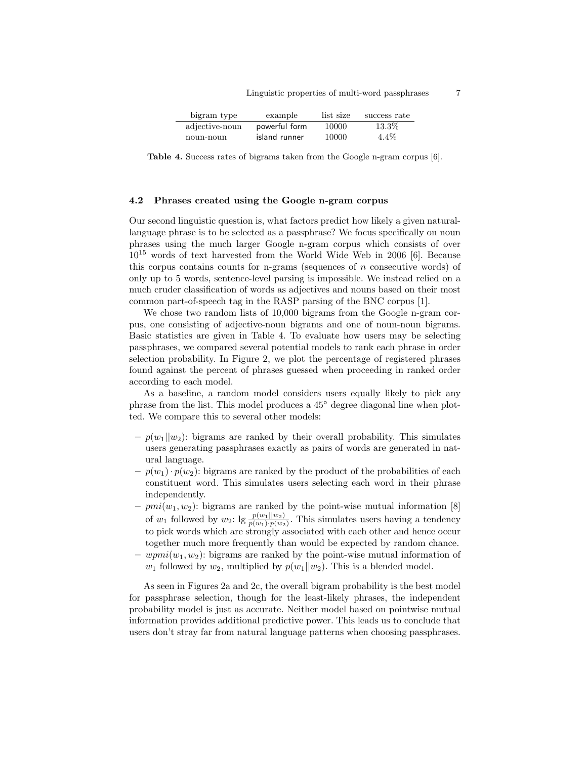<span id="page-6-0"></span>

| bigram type    | example       | list size | success rate |
|----------------|---------------|-----------|--------------|
| adjective-noun | powerful form | 10000     | 13.3%        |
| noun-noun      | island runner | 10000     | $4.4\%$      |

Table 4. Success rates of bigrams taken from the Google n-gram corpus [\[6\]](#page-11-13).

### <span id="page-6-1"></span>4.2 Phrases created using the Google n-gram corpus

Our second linguistic question is, what factors predict how likely a given naturallanguage phrase is to be selected as a passphrase? We focus specifically on noun phrases using the much larger Google n-gram corpus which consists of over 10<sup>15</sup> words of text harvested from the World Wide Web in 2006 [\[6\]](#page-11-13). Because this corpus contains counts for n-grams (sequences of  $n$  consecutive words) of only up to 5 words, sentence-level parsing is impossible. We instead relied on a much cruder classification of words as adjectives and nouns based on their most common part-of-speech tag in the RASP parsing of the BNC corpus [\[1\]](#page-11-12).

We chose two random lists of 10,000 bigrams from the Google n-gram corpus, one consisting of adjective-noun bigrams and one of noun-noun bigrams. Basic statistics are given in Table [4.](#page-6-0) To evaluate how users may be selecting passphrases, we compared several potential models to rank each phrase in order selection probability. In Figure [2,](#page-7-0) we plot the percentage of registered phrases found against the percent of phrases guessed when proceeding in ranked order according to each model.

As a baseline, a random model considers users equally likely to pick any phrase from the list. This model produces a 45◦ degree diagonal line when plotted. We compare this to several other models:

- $-p(w_1||w_2)$ : bigrams are ranked by their overall probability. This simulates users generating passphrases exactly as pairs of words are generated in natural language.
- $-p(w_1)\cdot p(w_2)$ : bigrams are ranked by the product of the probabilities of each constituent word. This simulates users selecting each word in their phrase independently.
- $pmi(w_1, w_2)$ : bigrams are ranked by the point-wise mutual information [\[8\]](#page-11-14) of  $w_1$  followed by  $w_2$ :  $\lg \frac{p(w_1||w_2)}{p(w_1)\cdot p(w_2)}$ . This simulates users having a tendency to pick words which are strongly associated with each other and hence occur together much more frequently than would be expected by random chance.
- $wpmi(w_1, w_2)$ : bigrams are ranked by the point-wise mutual information of  $w_1$  followed by  $w_2$ , multiplied by  $p(w_1||w_2)$ . This is a blended model.

As seen in Figures [2a](#page-7-1) and [2c,](#page-7-2) the overall bigram probability is the best model for passphrase selection, though for the least-likely phrases, the independent probability model is just as accurate. Neither model based on pointwise mutual information provides additional predictive power. This leads us to conclude that users don't stray far from natural language patterns when choosing passphrases.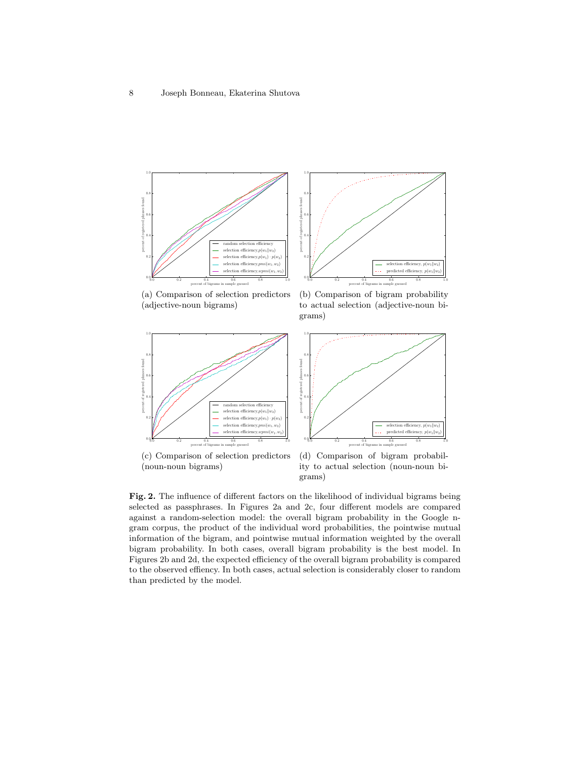<span id="page-7-1"></span>



(a) Comparison of selection predictors (adjective-noun bigrams)

<span id="page-7-3"></span>(b) Comparison of bigram probability to actual selection (adjective-noun bigrams)

<span id="page-7-2"></span>

(noun-noun bigrams)

<span id="page-7-4"></span>ity to actual selection (noun-noun bigrams)

<span id="page-7-0"></span>Fig. 2. The influence of different factors on the likelihood of individual bigrams being selected as passphrases. In Figures [2a](#page-7-1) and [2c,](#page-7-2) four different models are compared against a random-selection model: the overall bigram probability in the Google ngram corpus, the product of the individual word probabilities, the pointwise mutual information of the bigram, and pointwise mutual information weighted by the overall bigram probability. In both cases, overall bigram probability is the best model. In Figures [2b](#page-7-3) and [2d,](#page-7-4) the expected efficiency of the overall bigram probability is compared to the observed effiency. In both cases, actual selection is considerably closer to random than predicted by the model.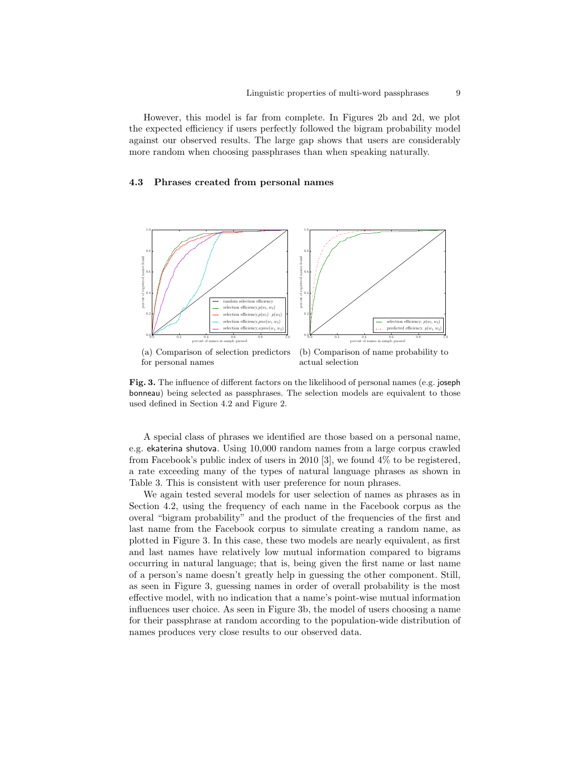However, this model is far from complete. In Figures [2b](#page-7-3) and [2d,](#page-7-4) we plot the expected efficiency if users perfectly followed the bigram probability model against our observed results. The large gap shows that users are considerably more random when choosing passphrases than when speaking naturally.

### 4.3 Phrases created from personal names



(a) Comparison of selection predictors for personal names

<span id="page-8-1"></span>(b) Comparison of name probability to actual selection

<span id="page-8-0"></span>Fig. 3. The influence of different factors on the likelihood of personal names (e.g. joseph bonneau) being selected as passphrases. The selection models are equivalent to those used defined in Section [4.2](#page-6-1) and Figure [2.](#page-7-0)

A special class of phrases we identified are those based on a personal name, e.g. ekaterina shutova. Using 10,000 random names from a large corpus crawled from Facebook's public index of users in 2010 [\[3\]](#page-11-7), we found 4% to be registered, a rate exceeding many of the types of natural language phrases as shown in Table [3.](#page-5-1) This is consistent with user preference for noun phrases.

We again tested several models for user selection of names as phrases as in Section [4.2,](#page-6-1) using the frequency of each name in the Facebook corpus as the overal "bigram probability" and the product of the frequencies of the first and last name from the Facebook corpus to simulate creating a random name, as plotted in Figure [3.](#page-8-0) In this case, these two models are nearly equivalent, as first and last names have relatively low mutual information compared to bigrams occurring in natural language; that is, being given the first name or last name of a person's name doesn't greatly help in guessing the other component. Still, as seen in Figure [3,](#page-8-0) guessing names in order of overall probability is the most effective model, with no indication that a name's point-wise mutual information influences user choice. As seen in Figure [3b,](#page-8-1) the model of users choosing a name for their passphrase at random according to the population-wide distribution of names produces very close results to our observed data.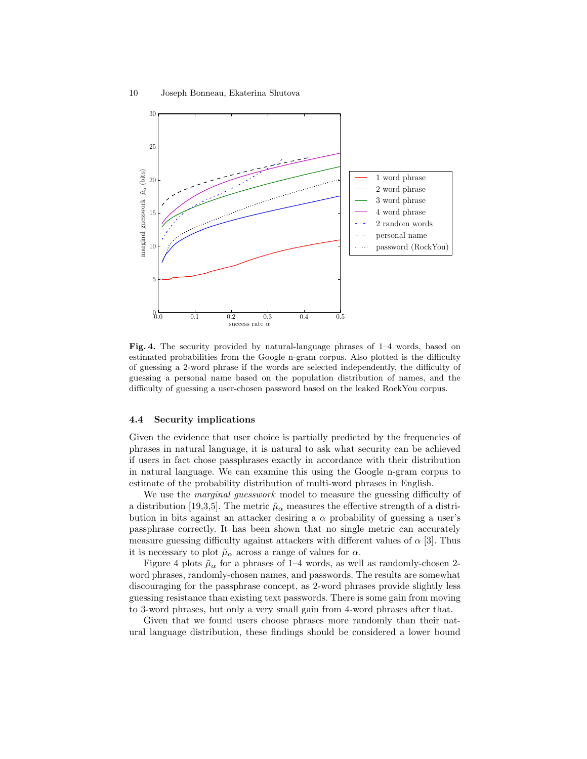

<span id="page-9-0"></span>Fig. 4. The security provided by natural-language phrases of 1–4 words, based on estimated probabilities from the Google n-gram corpus. Also plotted is the difficulty of guessing a 2-word phrase if the words are selected independently, the difficulty of guessing a personal name based on the population distribution of names, and the difficulty of guessing a user-chosen password based on the leaked RockYou corpus.

#### 4.4 Security implications

Given the evidence that user choice is partially predicted by the frequencies of phrases in natural language, it is natural to ask what security can be achieved if users in fact chose passphrases exactly in accordance with their distribution in natural language. We can examine this using the Google n-gram corpus to estimate of the probability distribution of multi-word phrases in English.

We use the *marginal guesswork* model to measure the guessing difficulty of a distribution [\[19](#page-12-6)[,3](#page-11-7)[,5\]](#page-11-15). The metric  $\tilde{\mu}_{\alpha}$  measures the effective strength of a distribution in bits against an attacker desiring a  $\alpha$  probability of guessing a user's passphrase correctly. It has been shown that no single metric can accurately measure guessing difficulty against attackers with different values of  $\alpha$  [\[3\]](#page-11-7). Thus it is necessary to plot  $\tilde{\mu}_{\alpha}$  across a range of values for  $\alpha$ .

Figure [4](#page-9-0) plots  $\tilde{\mu}_{\alpha}$  for a phrases of 1–4 words, as well as randomly-chosen 2word phrases, randomly-chosen names, and passwords. The results are somewhat discouraging for the passphrase concept, as 2-word phrases provide slightly less guessing resistance than existing text passwords. There is some gain from moving to 3-word phrases, but only a very small gain from 4-word phrases after that.

Given that we found users choose phrases more randomly than their natural language distribution, these findings should be considered a lower bound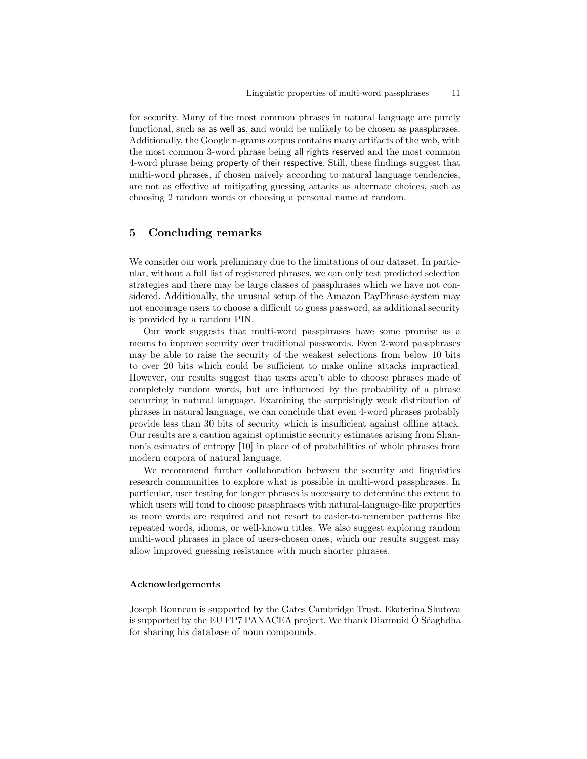for security. Many of the most common phrases in natural language are purely functional, such as as well as, and would be unlikely to be chosen as passphrases. Additionally, the Google n-grams corpus contains many artifacts of the web, with the most common 3-word phrase being all rights reserved and the most common 4-word phrase being property of their respective. Still, these findings suggest that multi-word phrases, if chosen naively according to natural language tendencies, are not as effective at mitigating guessing attacks as alternate choices, such as choosing 2 random words or choosing a personal name at random.

# 5 Concluding remarks

We consider our work preliminary due to the limitations of our dataset. In particular, without a full list of registered phrases, we can only test predicted selection strategies and there may be large classes of passphrases which we have not considered. Additionally, the unusual setup of the Amazon PayPhrase system may not encourage users to choose a difficult to guess password, as additional security is provided by a random PIN.

Our work suggests that multi-word passphrases have some promise as a means to improve security over traditional passwords. Even 2-word passphrases may be able to raise the security of the weakest selections from below 10 bits to over 20 bits which could be sufficient to make online attacks impractical. However, our results suggest that users aren't able to choose phrases made of completely random words, but are influenced by the probability of a phrase occurring in natural language. Examining the surprisingly weak distribution of phrases in natural language, we can conclude that even 4-word phrases probably provide less than 30 bits of security which is insufficient against offline attack. Our results are a caution against optimistic security estimates arising from Shannon's esimates of entropy [\[10\]](#page-11-6) in place of of probabilities of whole phrases from modern corpora of natural language.

We recommend further collaboration between the security and linguistics research communities to explore what is possible in multi-word passphrases. In particular, user testing for longer phrases is necessary to determine the extent to which users will tend to choose passphrases with natural-language-like properties as more words are required and not resort to easier-to-remember patterns like repeated words, idioms, or well-known titles. We also suggest exploring random multi-word phrases in place of users-chosen ones, which our results suggest may allow improved guessing resistance with much shorter phrases.

### Acknowledgements

Joseph Bonneau is supported by the Gates Cambridge Trust. Ekaterina Shutova is supported by the EU FP7 PANACEA project. We thank Diarmuid  $\dot{\text{O}}$  Séaghdha for sharing his database of noun compounds.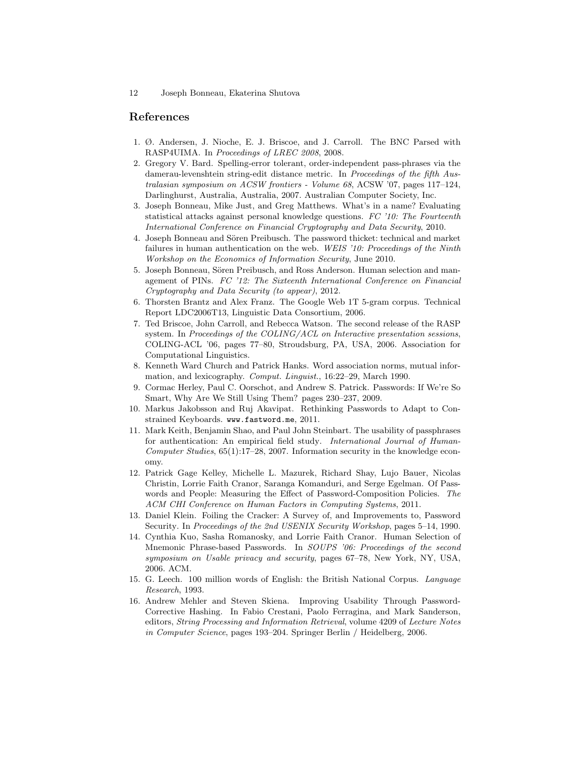# References

- <span id="page-11-12"></span>1. Ø. Andersen, J. Nioche, E. J. Briscoe, and J. Carroll. The BNC Parsed with RASP4UIMA. In Proceedings of LREC 2008, 2008.
- <span id="page-11-5"></span>2. Gregory V. Bard. Spelling-error tolerant, order-independent pass-phrases via the damerau-levenshtein string-edit distance metric. In Proceedings of the fifth Australasian symposium on ACSW frontiers - Volume 68, ACSW '07, pages 117–124, Darlinghurst, Australia, Australia, 2007. Australian Computer Society, Inc.
- <span id="page-11-7"></span>3. Joseph Bonneau, Mike Just, and Greg Matthews. What's in a name? Evaluating statistical attacks against personal knowledge questions. FC '10: The Fourteenth International Conference on Financial Cryptography and Data Security, 2010.
- <span id="page-11-1"></span>4. Joseph Bonneau and Sören Preibusch. The password thicket: technical and market failures in human authentication on the web. WEIS '10: Proceedings of the Ninth Workshop on the Economics of Information Security, June 2010.
- <span id="page-11-15"></span>5. Joseph Bonneau, Sören Preibusch, and Ross Anderson. Human selection and management of PINs. FC '12: The Sixteenth International Conference on Financial Cryptography and Data Security (to appear), 2012.
- <span id="page-11-13"></span>6. Thorsten Brantz and Alex Franz. The Google Web 1T 5-gram corpus. Technical Report LDC2006T13, Linguistic Data Consortium, 2006.
- <span id="page-11-11"></span>7. Ted Briscoe, John Carroll, and Rebecca Watson. The second release of the RASP system. In Proceedings of the COLING/ACL on Interactive presentation sessions, COLING-ACL '06, pages 77–80, Stroudsburg, PA, USA, 2006. Association for Computational Linguistics.
- <span id="page-11-14"></span>8. Kenneth Ward Church and Patrick Hanks. Word association norms, mutual information, and lexicography. Comput. Linguist., 16:22–29, March 1990.
- <span id="page-11-0"></span>9. Cormac Herley, Paul C. Oorschot, and Andrew S. Patrick. Passwords: If We're So Smart, Why Are We Still Using Them? pages 230–237, 2009.
- <span id="page-11-6"></span>10. Markus Jakobsson and Ruj Akavipat. Rethinking Passwords to Adapt to Constrained Keyboards. <www.fastword.me>, 2011.
- <span id="page-11-3"></span>11. Mark Keith, Benjamin Shao, and Paul John Steinbart. The usability of passphrases for authentication: An empirical field study. International Journal of Human-Computer Studies, 65(1):17–28, 2007. Information security in the knowledge economy.
- <span id="page-11-2"></span>12. Patrick Gage Kelley, Michelle L. Mazurek, Richard Shay, Lujo Bauer, Nicolas Christin, Lorrie Faith Cranor, Saranga Komanduri, and Serge Egelman. Of Passwords and People: Measuring the Effect of Password-Composition Policies. The ACM CHI Conference on Human Factors in Computing Systems, 2011.
- <span id="page-11-9"></span>13. Daniel Klein. Foiling the Cracker: A Survey of, and Improvements to, Password Security. In Proceedings of the 2nd USENIX Security Workshop, pages 5–14, 1990.
- <span id="page-11-8"></span>14. Cynthia Kuo, Sasha Romanosky, and Lorrie Faith Cranor. Human Selection of Mnemonic Phrase-based Passwords. In SOUPS '06: Proceedings of the second symposium on Usable privacy and security, pages 67–78, New York, NY, USA, 2006. ACM.
- <span id="page-11-10"></span>15. G. Leech. 100 million words of English: the British National Corpus. Language Research, 1993.
- <span id="page-11-4"></span>16. Andrew Mehler and Steven Skiena. Improving Usability Through Password-Corrective Hashing. In Fabio Crestani, Paolo Ferragina, and Mark Sanderson, editors, String Processing and Information Retrieval, volume 4209 of Lecture Notes in Computer Science, pages 193–204. Springer Berlin / Heidelberg, 2006.